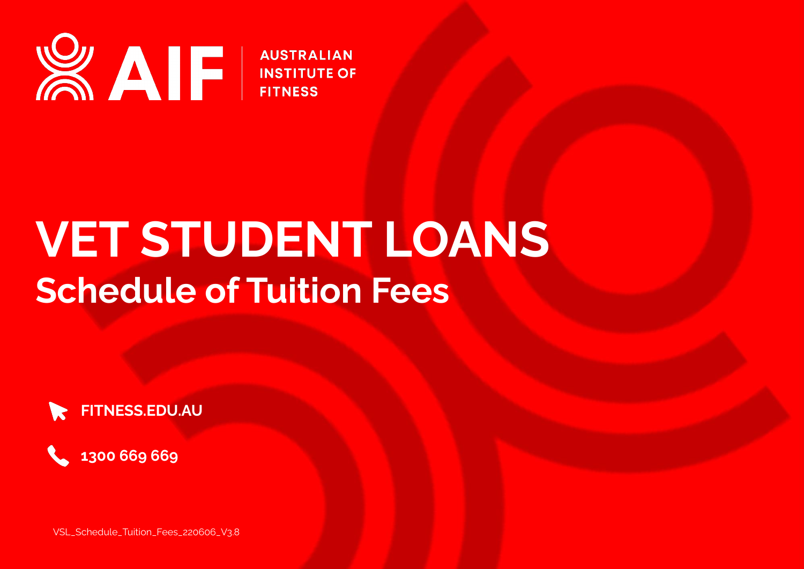

**AUSTRALIAN INSTITUTE OF FITNESS** 

# **VET STUDENT LOANS Schedule of Tuition Fees**





VSL\_Schedule\_Tuition\_Fees\_220606\_V3.8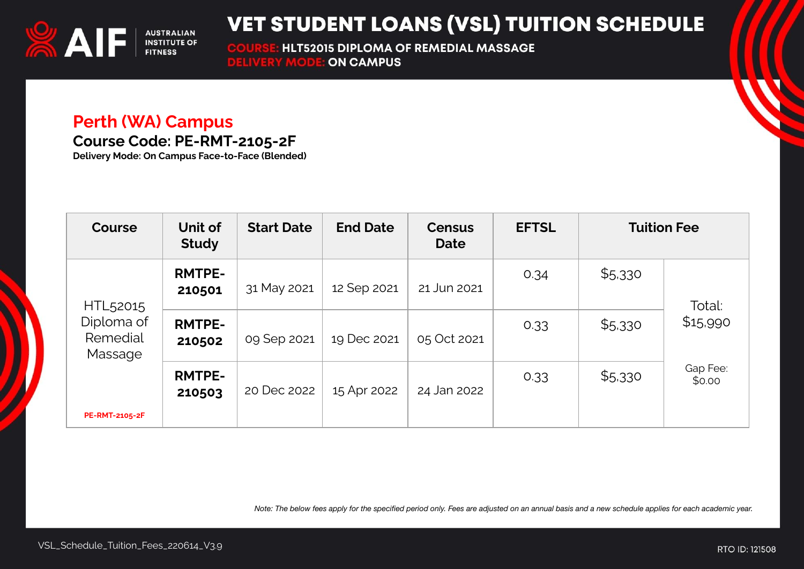

**HLT52015 DIPLOMA OF REMEDIAL MASSAGE COURSE: HLT52015 DIPLOMA O<br>DELIVERY MODE: ON CAMPUS** 

#### **Perth (WA) Campus**

**Course Code: PE-RMT-2105-2F**

**Delivery Mode: On Campus Face-to-Face (Blended)**

| <b>Course</b>                     | Unit of<br><b>Study</b> | <b>Start Date</b> | <b>End Date</b> | <b>Census</b><br><b>Date</b> | <b>EFTSL</b> |         | <b>Tuition Fee</b> |
|-----------------------------------|-------------------------|-------------------|-----------------|------------------------------|--------------|---------|--------------------|
| HTL <sub>52015</sub>              | <b>RMTPE-</b><br>210501 | 31 May 2021       | 12 Sep 2021     | 21 Jun 2021                  | 0.34         | \$5,330 | Total:             |
| Diploma of<br>Remedial<br>Massage | <b>RMTPE-</b><br>210502 | 09 Sep 2021       | 19 Dec 2021     | 05 Oct 2021                  | 0.33         | \$5,330 | \$15,990           |
| <b>PE-RMT-2105-2F</b>             | <b>RMTPE-</b><br>210503 | 20 Dec 2022       | 15 Apr 2022     | 24 Jan 2022                  | 0.33         | \$5,330 | Gap Fee:<br>\$0.00 |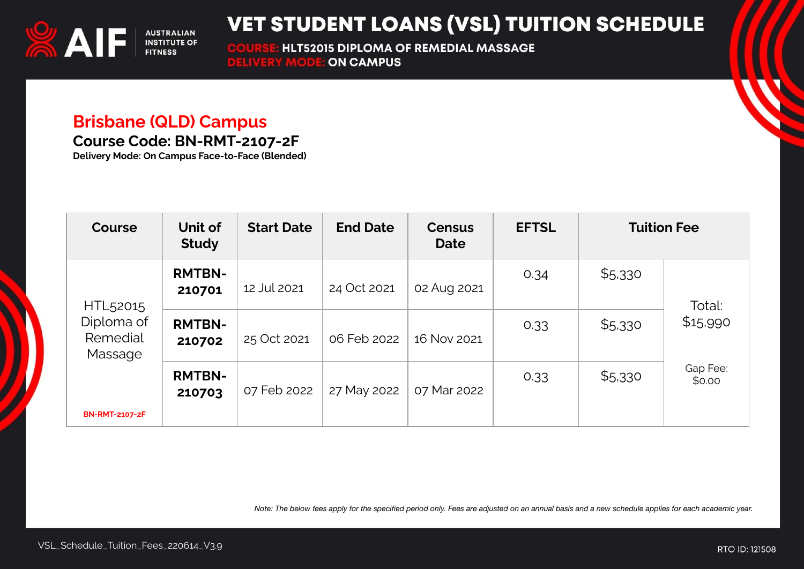

**HLT52015 DIPLOMA OF REMEDIAL MASSAGE COURSE: HLT52015 DIPLOMA O<br>DELIVERY MODE: ON CAMPUS** 

### **Brisbane (QLD) Campus**

**Course Code: BN-RMT-2107-2F**

**Delivery Mode: On Campus Face-to-Face (Blended)**

| <b>Course</b>                     | Unit of<br><b>Study</b> | <b>Start Date</b> | <b>End Date</b> | <b>Census</b><br><b>Date</b> | <b>EFTSL</b> | <b>Tuition Fee</b> |                    |
|-----------------------------------|-------------------------|-------------------|-----------------|------------------------------|--------------|--------------------|--------------------|
| HTL52015                          | <b>RMTBN-</b><br>210701 | 12 Jul 2021       | 24 Oct 2021     | 02 Aug 2021                  | 0.34         | \$5,330            | Total:             |
| Diploma of<br>Remedial<br>Massage | <b>RMTBN-</b><br>210702 | 25 Oct 2021       | 06 Feb 2022     | 16 Nov 2021                  | 0.33         | \$5,330            | \$15,990           |
| <b>BN-RMT-2107-2F</b>             | <b>RMTBN-</b><br>210703 | 07 Feb 2022       | 27 May 2022     | 07 Mar 2022                  | 0.33         | \$5,330            | Gap Fee:<br>\$0.00 |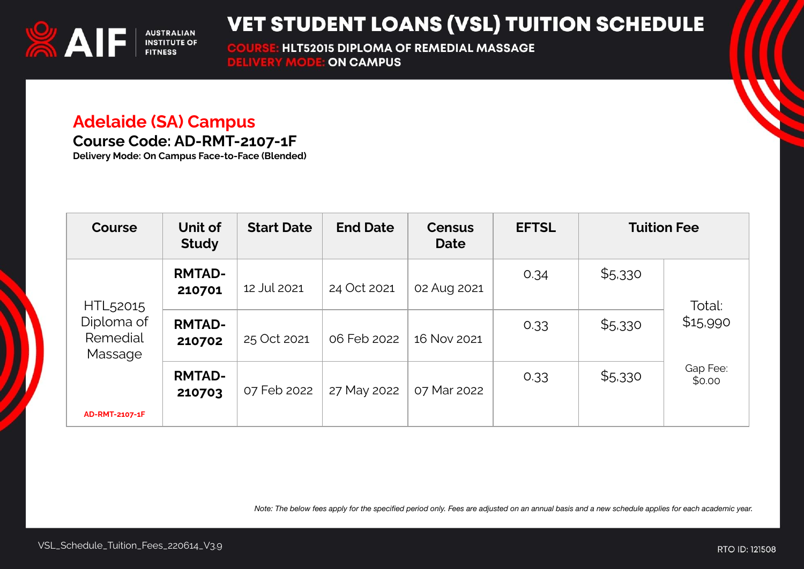

**HLT52015 DIPLOMA OF REMEDIAL MASSAGE COURSE: HLT52015 DIPLOMA O<br>DELIVERY MODE: ON CAMPUS** 

#### **Adelaide (SA) Campus**

**Course Code: AD-RMT-2107-1F**

**Delivery Mode: On Campus Face-to-Face (Blended)**

| Course                            | Unit of<br><b>Study</b> | <b>Start Date</b> | <b>End Date</b> | <b>Census</b><br><b>Date</b> | <b>EFTSL</b> | <b>Tuition Fee</b> |                    |
|-----------------------------------|-------------------------|-------------------|-----------------|------------------------------|--------------|--------------------|--------------------|
| HTL <sub>52015</sub>              | <b>RMTAD-</b><br>210701 | 12 Jul 2021       | 24 Oct 2021     | 02 Aug 2021                  | 0.34         | \$5,330            | Total:             |
| Diploma of<br>Remedial<br>Massage | <b>RMTAD-</b><br>210702 | 25 Oct 2021       | 06 Feb 2022     | 16 Nov 2021                  | 0.33         | \$5,330            | \$15,990           |
| AD-RMT-2107-1F                    | <b>RMTAD-</b><br>210703 | 07 Feb 2022       | 27 May 2022     | 07 Mar 2022                  | 0.33         | \$5,330            | Gap Fee:<br>\$0.00 |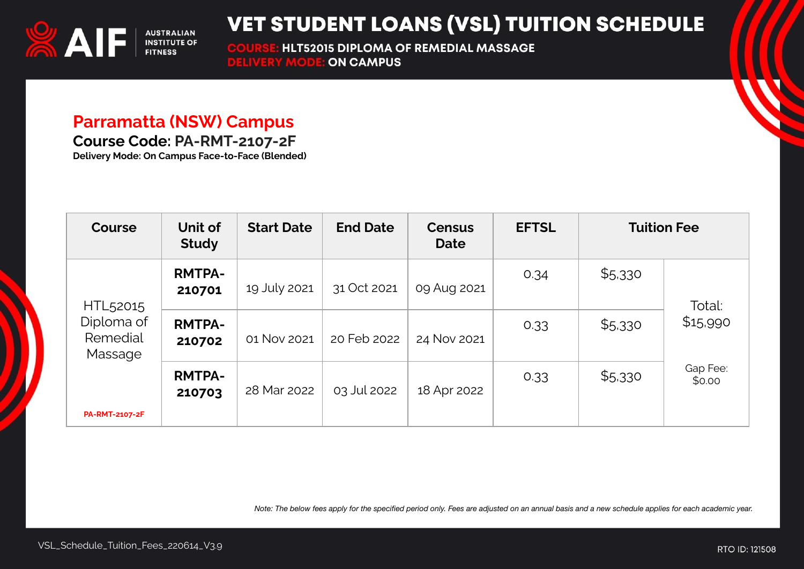

**HLT52015 DIPLOMA OF REMEDIAL MASSAGE COURSE: HLT52015 DIPLOMA O<br>DELIVERY MODE: ON CAMPUS** 

#### **Parramatta (NSW) Campus**

**Course Code: PA-RMT-2107-2F**

**Delivery Mode: On Campus Face-to-Face (Blended)**

| <b>Course</b>                                 | Unit of<br><b>Study</b> | <b>Start Date</b> | <b>End Date</b> | <b>Census</b><br><b>Date</b> | <b>EFTSL</b> | <b>Tuition Fee</b> |                    |
|-----------------------------------------------|-------------------------|-------------------|-----------------|------------------------------|--------------|--------------------|--------------------|
| HTL52015<br>Diploma of<br>Remedial<br>Massage | <b>RMTPA-</b><br>210701 | 19 July 2021      | 31 Oct 2021     | 09 Aug 2021                  | 0.34         | \$5,330            | Total:             |
|                                               | <b>RMTPA-</b><br>210702 | 01 Nov 2021       | 20 Feb 2022     | 24 Nov 2021                  | 0.33         | \$5,330            | \$15,990           |
| <b>PA-RMT-2107-2F</b>                         | <b>RMTPA-</b><br>210703 | 28 Mar 2022       | 03 Jul 2022     | 18 Apr 2022                  | 0.33         | \$5,330            | Gap Fee:<br>\$0.00 |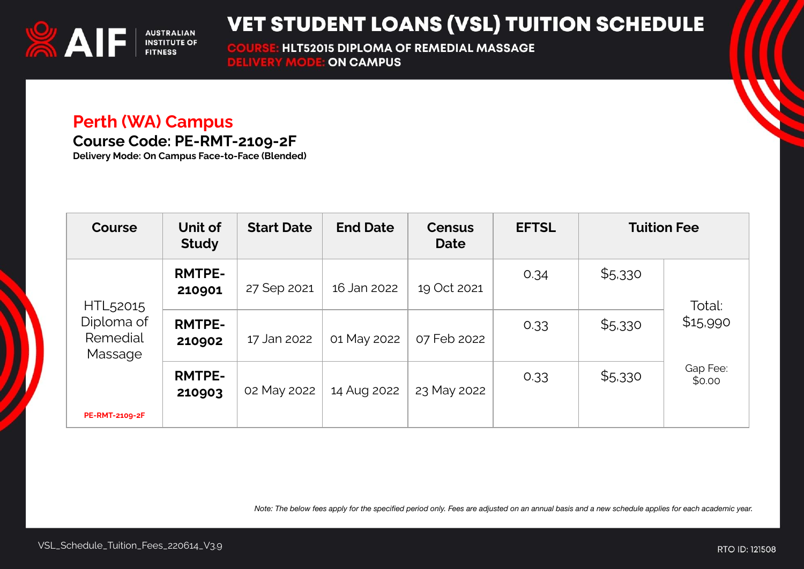

**HLT52015 DIPLOMA OF REMEDIAL MASSAGE COURSE: HLT52015 DIPLOMA O<br>DELIVERY MODE: ON CAMPUS** 

#### **Perth (WA) Campus**

**Course Code: PE-RMT-2109-2F**

**Delivery Mode: On Campus Face-to-Face (Blended)**

| <b>Course</b>                     | Unit of<br><b>Study</b> | <b>Start Date</b> | <b>End Date</b> | <b>Census</b><br><b>Date</b> | <b>EFTSL</b> | <b>Tuition Fee</b> |                    |
|-----------------------------------|-------------------------|-------------------|-----------------|------------------------------|--------------|--------------------|--------------------|
| HTL <sub>52015</sub>              | <b>RMTPE-</b><br>210901 | 27 Sep 2021       | 16 Jan 2022     | 19 Oct 2021                  | 0.34         | \$5,330            | Total:             |
| Diploma of<br>Remedial<br>Massage | <b>RMTPE-</b><br>210902 | 17 Jan 2022       | 01 May 2022     | 07 Feb 2022                  | 0.33         | \$5,330            | \$15,990           |
| <b>PE-RMT-2109-2F</b>             | <b>RMTPE-</b><br>210903 | 02 May 2022       | 14 Aug 2022     | 23 May 2022                  | 0.33         | \$5,330            | Gap Fee:<br>\$0.00 |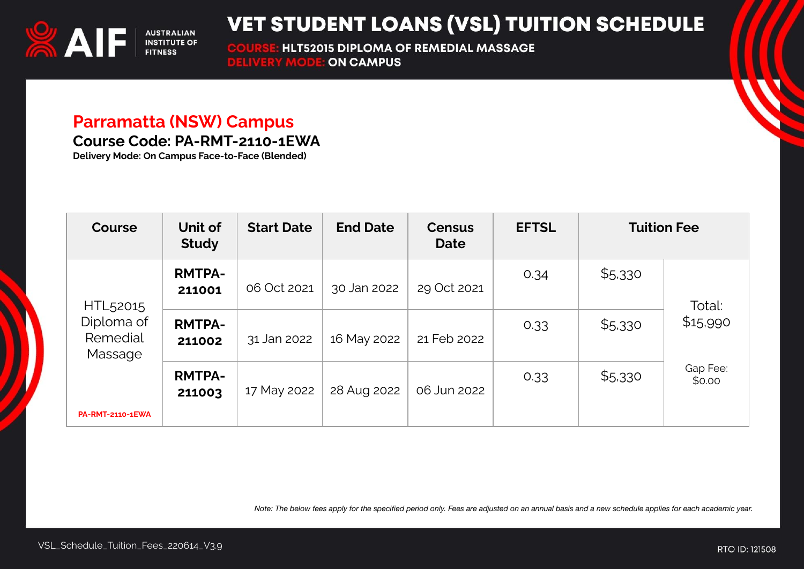

**HLT52015 DIPLOMA OF REMEDIAL MASSAGE COURSE: HLT52015 DIPLOMA O<br>DELIVERY MODE: ON CAMPUS** 

#### **Parramatta (NSW) Campus**

**Course Code: PA-RMT-2110-1EWA**

**Delivery Mode: On Campus Face-to-Face (Blended)**

| <b>Course</b>                     | Unit of<br><b>Study</b> | <b>Start Date</b> | <b>End Date</b> | <b>Census</b><br><b>Date</b> | <b>EFTSL</b> | <b>Tuition Fee</b> |                    |
|-----------------------------------|-------------------------|-------------------|-----------------|------------------------------|--------------|--------------------|--------------------|
| HTL <sub>52015</sub>              | <b>RMTPA-</b><br>211001 | 06 Oct 2021       | 30 Jan 2022     | 29 Oct 2021                  | 0.34         | \$5,330            | Total:             |
| Diploma of<br>Remedial<br>Massage | <b>RMTPA-</b><br>211002 | 31 Jan 2022       | 16 May 2022     | 21 Feb 2022                  | 0.33         | \$5,330            | \$15,990           |
| <b>PA-RMT-2110-1EWA</b>           | <b>RMTPA-</b><br>211003 | 17 May 2022       | 28 Aug 2022     | 06 Jun 2022                  | 0.33         | \$5,330            | Gap Fee:<br>\$0.00 |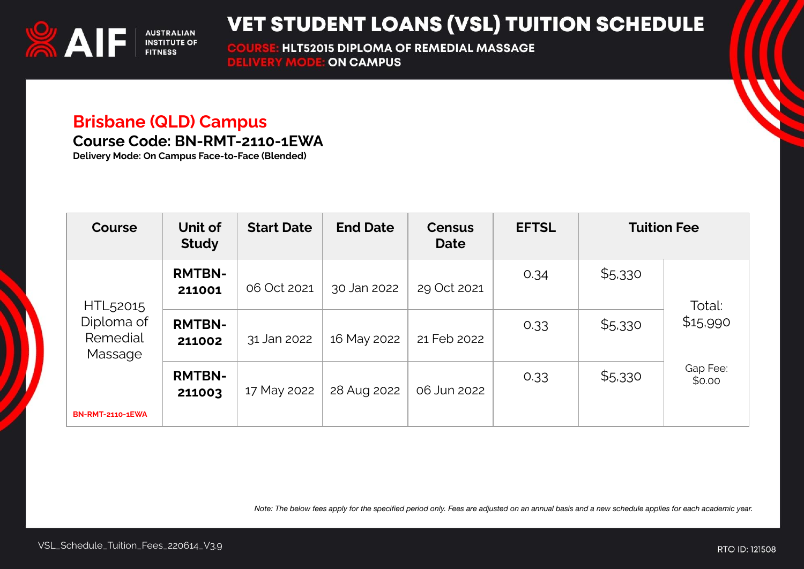

**HLT52015 DIPLOMA OF REMEDIAL MASSAGE COURSE: HLT52015 DIPLOMA O<br>DELIVERY MODE: ON CAMPUS** 

## **Brisbane (QLD) Campus**

**Course Code: BN-RMT-2110-1EWA**

**Delivery Mode: On Campus Face-to-Face (Blended)**

| <b>Course</b>                                             | Unit of<br><b>Study</b> | <b>Start Date</b> | <b>End Date</b> | <b>Census</b><br><b>Date</b> | <b>EFTSL</b> | <b>Tuition Fee</b> |                    |
|-----------------------------------------------------------|-------------------------|-------------------|-----------------|------------------------------|--------------|--------------------|--------------------|
| HTL <sub>52015</sub><br>Diploma of<br>Remedial<br>Massage | <b>RMTBN-</b><br>211001 | 06 Oct 2021       | 30 Jan 2022     | 29 Oct 2021                  | 0.34         | \$5,330            | Total:             |
|                                                           | <b>RMTBN-</b><br>211002 | 31 Jan 2022       | 16 May 2022     | 21 Feb 2022                  | 0.33         | \$5,330            | \$15,990           |
| <b>BN-RMT-2110-1EWA</b>                                   | <b>RMTBN-</b><br>211003 | 17 May 2022       | 28 Aug 2022     | 06 Jun 2022                  | 0.33         | \$5,330            | Gap Fee:<br>\$0.00 |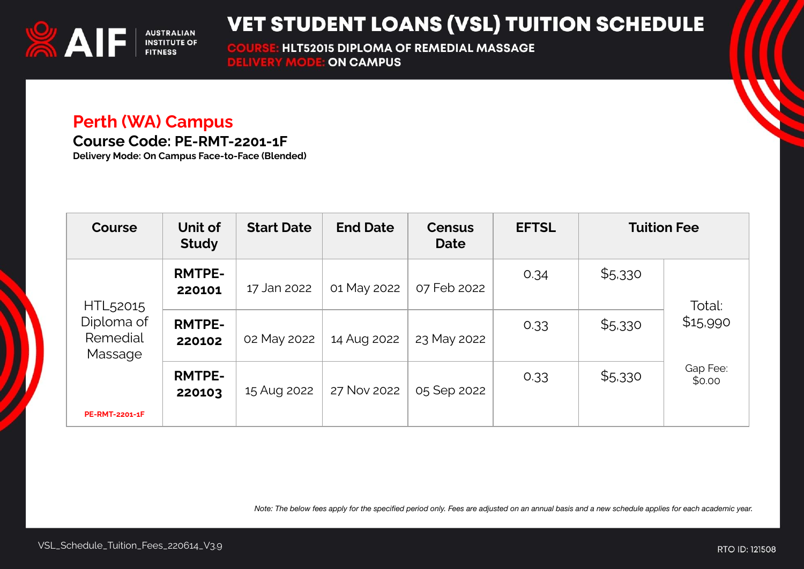

**HLT52015 DIPLOMA OF REMEDIAL MASSAGE COURSE: HLT52015 DIPLOMA O<br>DELIVERY MODE: ON CAMPUS** 

#### **Perth (WA) Campus**

**Course Code: PE-RMT-2201-1F**

**Delivery Mode: On Campus Face-to-Face (Blended)**

| <b>Course</b>                                                                      | Unit of<br><b>Study</b> | <b>Start Date</b> | <b>End Date</b> | <b>Census</b><br><b>Date</b> | <b>EFTSL</b> | <b>Tuition Fee</b> |                    |
|------------------------------------------------------------------------------------|-------------------------|-------------------|-----------------|------------------------------|--------------|--------------------|--------------------|
| HTL <sub>52015</sub><br>Diploma of<br>Remedial<br>Massage<br><b>PE-RMT-2201-1F</b> | <b>RMTPE-</b><br>220101 | 17 Jan 2022       | 01 May 2022     | 07 Feb 2022                  | 0.34         | \$5,330            | Total:             |
|                                                                                    | <b>RMTPE-</b><br>220102 | 02 May 2022       | 14 Aug 2022     | 23 May 2022                  | 0.33         | \$5,330            | \$15,990           |
|                                                                                    | <b>RMTPE-</b><br>220103 | 15 Aug 2022       | 27 Nov 2022     | 05 Sep 2022                  | 0.33         | \$5,330            | Gap Fee:<br>\$0.00 |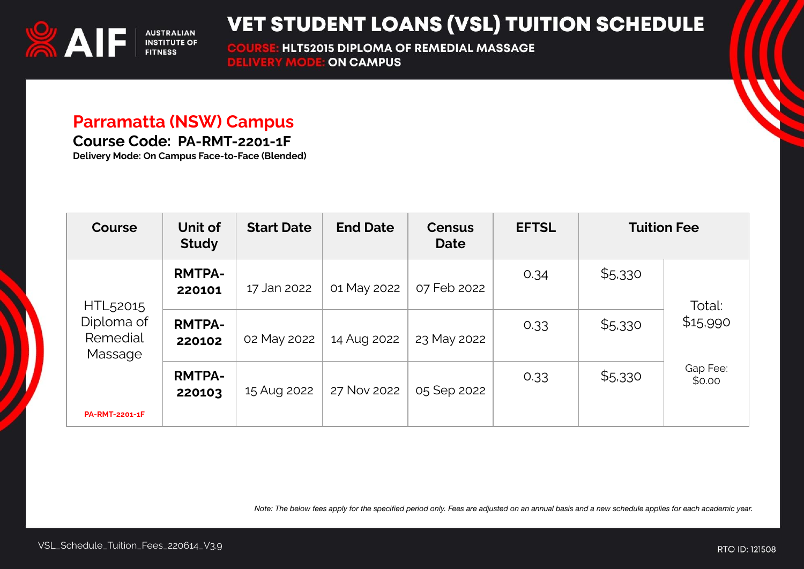

HLT52015 DIPLOMA OF REMEDIAL MASSAGE **COURSE: HLT52015 DIPLOMA O<br>DELIVERY MODE: ON CAMPUS** 

#### **Parramatta (NSW) Campus**

**Course Code: PA-RMT-2201-1F**

**Delivery Mode: On Campus Face-to-Face (Blended)**

| <b>Course</b>                                                   | Unit of<br><b>Study</b> | <b>Start Date</b> | <b>End Date</b> | <b>Census</b><br><b>Date</b> | <b>EFTSL</b> | <b>Tuition Fee</b> |                    |
|-----------------------------------------------------------------|-------------------------|-------------------|-----------------|------------------------------|--------------|--------------------|--------------------|
| HTL52015<br>Diploma of<br>Remedial<br>Massage<br>PA-RMT-2201-1F | <b>RMTPA-</b><br>220101 | 17 Jan 2022       | 01 May 2022     | 07 Feb 2022                  | 0.34         | \$5,330            | Total:             |
|                                                                 | <b>RMTPA-</b><br>220102 | 02 May 2022       | 14 Aug 2022     | 23 May 2022                  | 0.33         | \$5,330            | \$15,990           |
|                                                                 | <b>RMTPA-</b><br>220103 | 15 Aug 2022       | 27 Nov 2022     | 05 Sep 2022                  | 0.33         | \$5,330            | Gap Fee:<br>\$0.00 |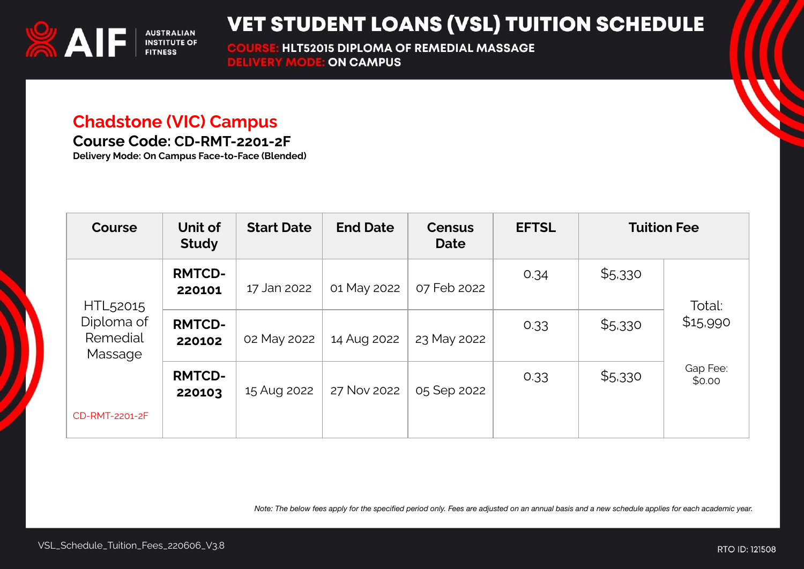

**HLT52015 DIPLOMA OF REMEDIAL MASSAGE COURSE: HLT52015 DIPLOMA O<br>DELIVERY MODE: ON CAMPUS** 

#### **Chadstone (VIC) Campus**

**Course Code: CD-RMT-2201-2F**

**Delivery Mode: On Campus Face-to-Face (Blended)**

| <b>Course</b>                     | Unit of<br><b>Study</b> | <b>Start Date</b> | <b>End Date</b> | <b>Census</b><br><b>Date</b> | <b>EFTSL</b> |         | <b>Tuition Fee</b> |
|-----------------------------------|-------------------------|-------------------|-----------------|------------------------------|--------------|---------|--------------------|
| HTL <sub>52015</sub>              | <b>RMTCD-</b><br>220101 | 17 Jan 2022       | 01 May 2022     | 07 Feb 2022                  | 0.34         | \$5,330 | Total:             |
| Diploma of<br>Remedial<br>Massage | <b>RMTCD-</b><br>220102 | 02 May 2022       | 14 Aug 2022     | 23 May 2022                  | 0.33         | \$5,330 | \$15,990           |
|                                   | <b>RMTCD-</b><br>220103 | 15 Aug 2022       | 27 Nov 2022     | 05 Sep 2022                  | 0.33         | \$5,330 | Gap Fee:<br>\$0.00 |
| CD-RMT-2201-2F                    |                         |                   |                 |                              |              |         |                    |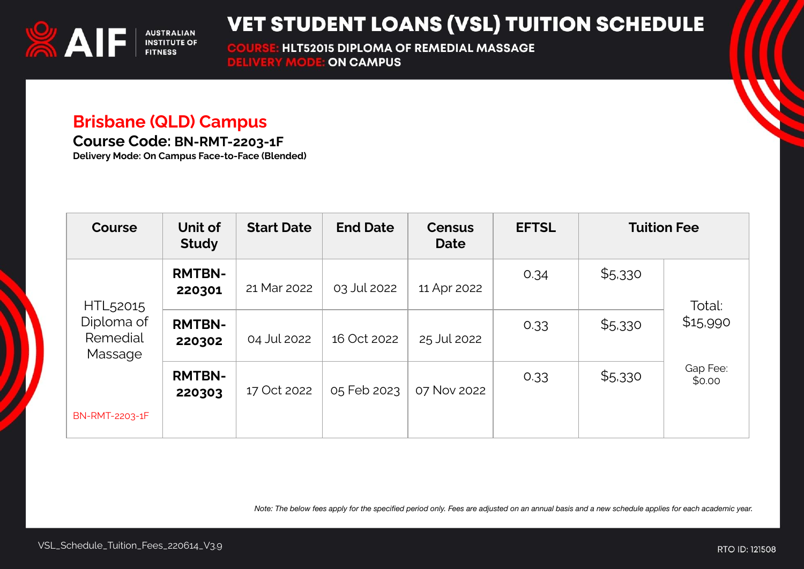

**HLT52015 DIPLOMA OF REMEDIAL MASSAGE COURSE: HLT52015 DIPLOMA O<br>DELIVERY MODE: ON CAMPUS** 

#### **Brisbane (QLD) Campus**

**Course Code: BN-RMT-2203-1F**

**Delivery Mode: On Campus Face-to-Face (Blended)**

| <b>Course</b>                                             | Unit of<br><b>Study</b> | <b>Start Date</b> | <b>End Date</b> | <b>Census</b><br><b>Date</b> | <b>EFTSL</b> | <b>Tuition Fee</b> |                    |
|-----------------------------------------------------------|-------------------------|-------------------|-----------------|------------------------------|--------------|--------------------|--------------------|
| HTL <sub>52015</sub><br>Diploma of<br>Remedial<br>Massage | <b>RMTBN-</b><br>220301 | 21 Mar 2022       | 03 Jul 2022     | 11 Apr 2022                  | 0.34         | \$5,330            | Total:             |
|                                                           | <b>RMTBN-</b><br>220302 | 04 Jul 2022       | 16 Oct 2022     | 25 Jul 2022                  | 0.33         | \$5,330            | \$15,990           |
|                                                           | <b>RMTBN-</b><br>220303 | 17 Oct 2022       | 05 Feb 2023     | 07 Nov 2022                  | 0.33         | \$5,330            | Gap Fee:<br>\$0.00 |
| BN-RMT-2203-1F                                            |                         |                   |                 |                              |              |                    |                    |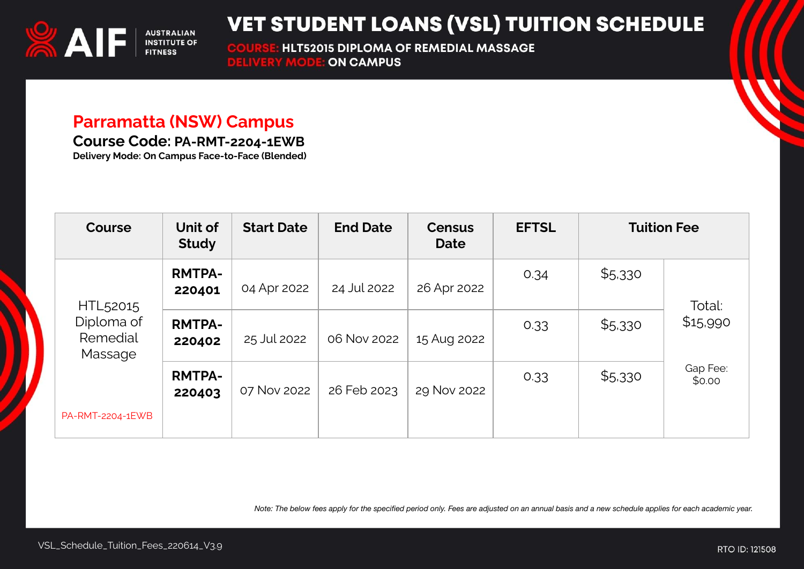

**COURSE: HLT52015 DIPLOMA O<br>DELIVERY MODE: ON CAMPUS HLT52015 DIPLOMA OF REMEDIAL MASSAGE** 

#### **Parramatta (NSW) Campus**

**Course Code: PA-RMT-2204-1EWB**

**Delivery Mode: On Campus Face-to-Face (Blended)**

| <b>Course</b>                     | Unit of<br><b>Study</b> | <b>Start Date</b> | <b>End Date</b> | <b>Census</b><br>Date | <b>EFTSL</b> |         | <b>Tuition Fee</b> |
|-----------------------------------|-------------------------|-------------------|-----------------|-----------------------|--------------|---------|--------------------|
| HTL <sub>52015</sub>              | <b>RMTPA-</b><br>220401 | 04 Apr 2022       | 24 Jul 2022     | 26 Apr 2022           | 0.34         | \$5,330 | Total:             |
| Diploma of<br>Remedial<br>Massage | <b>RMTPA-</b><br>220402 | 25 Jul 2022       | 06 Nov 2022     | 15 Aug 2022           | 0.33         | \$5,330 | \$15,990           |
|                                   | <b>RMTPA-</b><br>220403 | 07 Nov 2022       | 26 Feb 2023     | 29 Nov 2022           | 0.33         | \$5,330 | Gap Fee:<br>\$0.00 |
| PA-RMT-2204-1EWB                  |                         |                   |                 |                       |              |         |                    |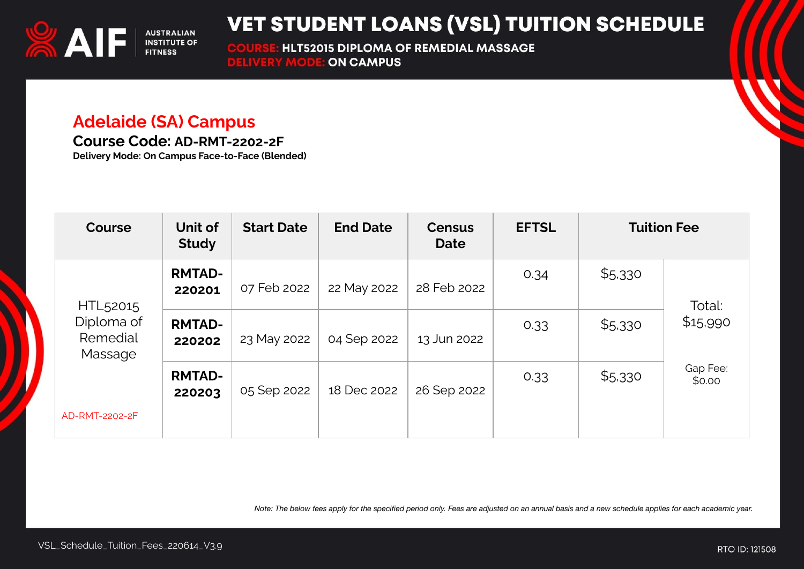

**HLT52015 DIPLOMA OF REMEDIAL MASSAGE COURSE: HLT52015 DIPLOMA O<br>DELIVERY MODE: ON CAMPUS** 

#### **Adelaide (SA) Campus**

**Course Code: AD-RMT-2202-2F**

**Delivery Mode: On Campus Face-to-Face (Blended)**

| <b>Course</b>                                             | Unit of<br><b>Study</b> | <b>Start Date</b> | <b>End Date</b> | <b>Census</b><br><b>Date</b> | <b>EFTSL</b> | <b>Tuition Fee</b> |                                          |
|-----------------------------------------------------------|-------------------------|-------------------|-----------------|------------------------------|--------------|--------------------|------------------------------------------|
| HTL <sub>52015</sub><br>Diploma of<br>Remedial<br>Massage | <b>RMTAD-</b><br>220201 | 07 Feb 2022       | 22 May 2022     | 28 Feb 2022                  | 0.34         | \$5,330            | Total:<br>\$15,990<br>Gap Fee:<br>\$0.00 |
|                                                           | <b>RMTAD-</b><br>220202 | 23 May 2022       | 04 Sep 2022     | 13 Jun 2022                  | 0.33         | \$5,330            |                                          |
|                                                           | <b>RMTAD-</b><br>220203 | 05 Sep 2022       | 18 Dec 2022     | 26 Sep 2022                  | 0.33         | \$5,330            |                                          |
| AD-RMT-2202-2F                                            |                         |                   |                 |                              |              |                    |                                          |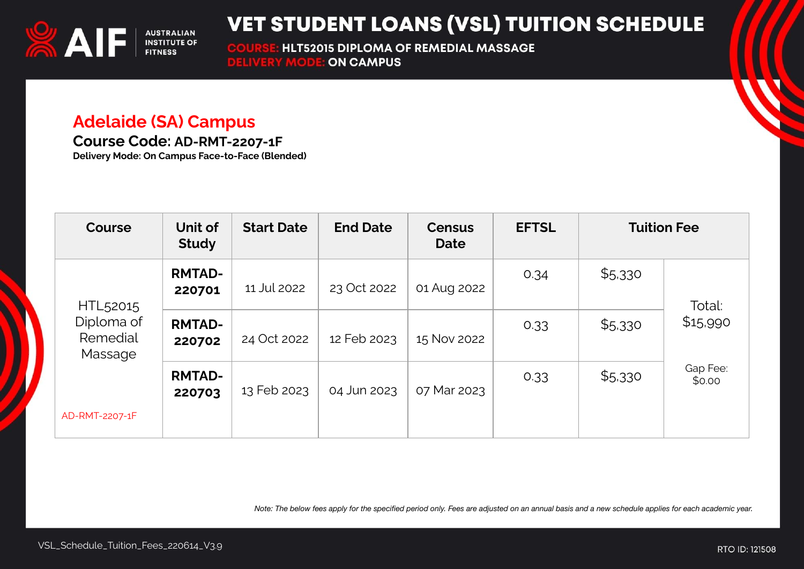

**HLT52015 DIPLOMA OF REMEDIAL MASSAGE COURSE: HLT52015 DIPLOMA O<br>DELIVERY MODE: ON CAMPUS** 

#### **Adelaide (SA) Campus**

**Course Code: AD-RMT-2207-1F**

**Delivery Mode: On Campus Face-to-Face (Blended)**

| <b>Course</b>                                             | Unit of<br><b>Study</b> | <b>Start Date</b> | <b>End Date</b> | <b>Census</b><br><b>Date</b> | <b>EFTSL</b> | <b>Tuition Fee</b> |                    |
|-----------------------------------------------------------|-------------------------|-------------------|-----------------|------------------------------|--------------|--------------------|--------------------|
| HTL <sub>52015</sub><br>Diploma of<br>Remedial<br>Massage | <b>RMTAD-</b><br>220701 | 11 Jul 2022       | 23 Oct 2022     | 01 Aug 2022                  | 0.34         | \$5,330            | Total:<br>\$15,990 |
|                                                           | <b>RMTAD-</b><br>220702 | 24 Oct 2022       | 12 Feb 2023     | 15 Nov 2022                  | 0.33         | \$5,330            |                    |
|                                                           | <b>RMTAD-</b><br>220703 | 13 Feb 2023       | 04 Jun 2023     | 07 Mar 2023                  | 0.33         | \$5,330            | Gap Fee:<br>\$0.00 |
| AD-RMT-2207-1F                                            |                         |                   |                 |                              |              |                    |                    |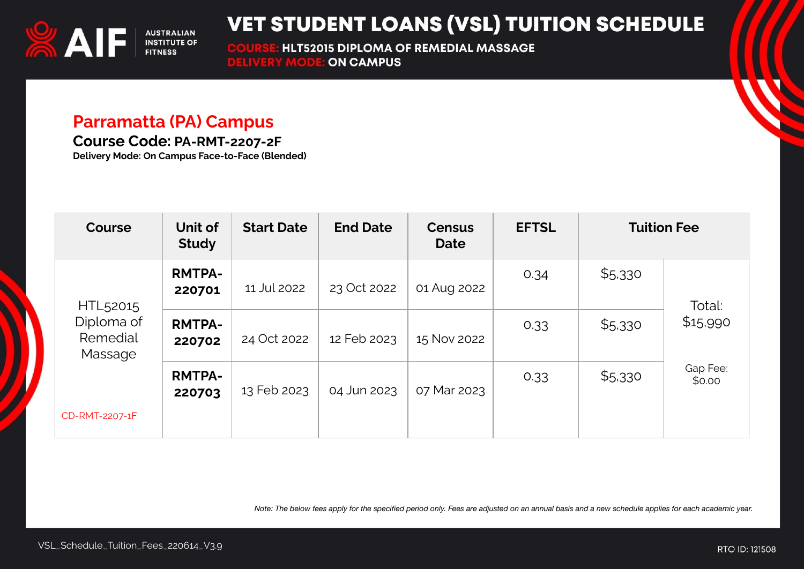

**HLT52015 DIPLOMA OF REMEDIAL MASSAGE COURSE: HLT52015 DIPLOMA O<br>DELIVERY MODE: ON CAMPUS** 

#### **Parramatta (PA) Campus**

**Course Code: PA-RMT-2207-2F**

**Delivery Mode: On Campus Face-to-Face (Blended)**

| <b>Course</b>                                             | Unit of<br><b>Study</b> | <b>Start Date</b> | <b>End Date</b> | <b>Census</b><br>Date | <b>EFTSL</b> | <b>Tuition Fee</b> |                    |
|-----------------------------------------------------------|-------------------------|-------------------|-----------------|-----------------------|--------------|--------------------|--------------------|
| HTL <sub>52015</sub><br>Diploma of<br>Remedial<br>Massage | <b>RMTPA-</b><br>220701 | 11 Jul 2022       | 23 Oct 2022     | 01 Aug 2022           | 0.34         | \$5,330            | Total:             |
|                                                           | <b>RMTPA-</b><br>220702 | 24 Oct 2022       | 12 Feb 2023     | 15 Nov 2022           | 0.33         | \$5,330            | \$15,990           |
|                                                           | <b>RMTPA-</b><br>220703 | 13 Feb 2023       | 04 Jun 2023     | 07 Mar 2023           | 0.33         | \$5,330            | Gap Fee:<br>\$0.00 |
| CD-RMT-2207-1F                                            |                         |                   |                 |                       |              |                    |                    |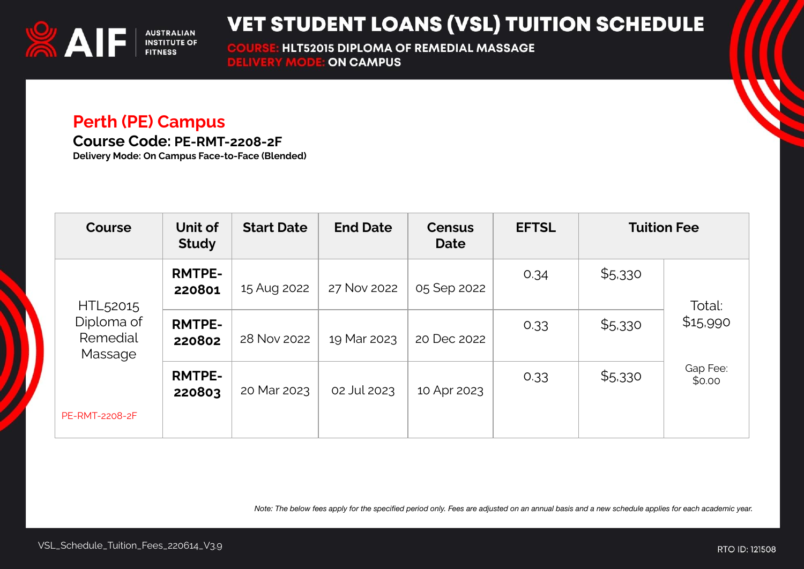

**HLT52015 DIPLOMA OF REMEDIAL MASSAGE COURSE: HLT52015 DIPLOMA O<br>DELIVERY MODE: ON CAMPUS** 

#### **Perth (PE) Campus**

**Course Code: PE-RMT-2208-2F**

**Delivery Mode: On Campus Face-to-Face (Blended)**

| <b>Course</b>                                             | Unit of<br><b>Study</b> | <b>Start Date</b> | <b>End Date</b> | <b>Census</b><br><b>Date</b> | <b>EFTSL</b> | <b>Tuition Fee</b> |                    |
|-----------------------------------------------------------|-------------------------|-------------------|-----------------|------------------------------|--------------|--------------------|--------------------|
| HTL <sub>52015</sub><br>Diploma of<br>Remedial<br>Massage | <b>RMTPE-</b><br>220801 | 15 Aug 2022       | 27 Nov 2022     | 05 Sep 2022                  | 0.34         | \$5,330            | Total:<br>\$15,990 |
|                                                           | <b>RMTPE-</b><br>220802 | 28 Nov 2022       | 19 Mar 2023     | 20 Dec 2022                  | 0.33         | \$5,330            |                    |
|                                                           | <b>RMTPE-</b><br>220803 | 20 Mar 2023       | 02 Jul 2023     | 10 Apr 2023                  | 0.33         | \$5,330            | Gap Fee:<br>\$0.00 |
| <b>PE-RMT-2208-2F</b>                                     |                         |                   |                 |                              |              |                    |                    |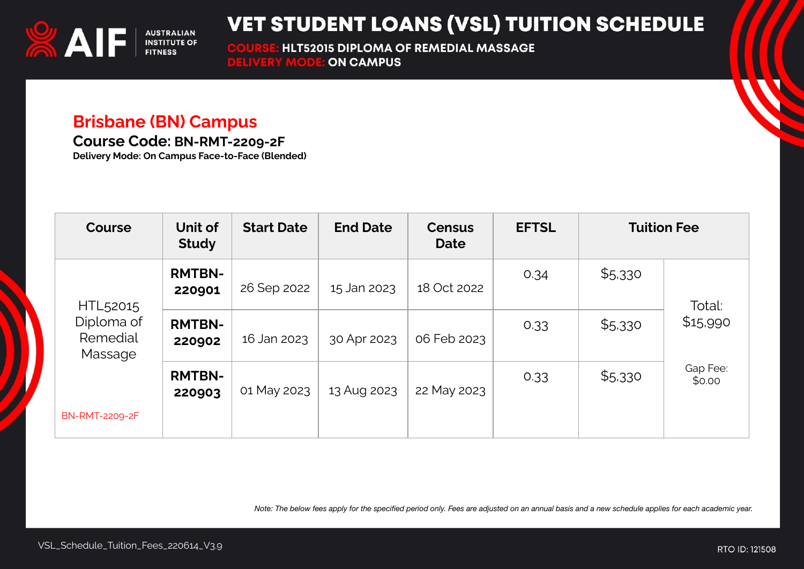

**HLT52015 DIPLOMA OF REMEDIAL MASSAGE COURSE: HLT52015 DIPLOMA O<br>DELIVERY MODE: ON CAMPUS** 

#### **Brisbane (BN) Campus**

**Course Code: BN-RMT-2209-2F**

**Delivery Mode: On Campus Face-to-Face (Blended)**

| <b>Course</b>                                             | Unit of<br><b>Study</b> | <b>Start Date</b> | <b>End Date</b> | <b>Census</b><br><b>Date</b> | <b>EFTSL</b> | <b>Tuition Fee</b> |                    |
|-----------------------------------------------------------|-------------------------|-------------------|-----------------|------------------------------|--------------|--------------------|--------------------|
| HTL <sub>52015</sub><br>Diploma of<br>Remedial<br>Massage | <b>RMTBN-</b><br>220901 | 26 Sep 2022       | 15 Jan 2023     | 18 Oct 2022                  | 0.34         | \$5,330            | Total:             |
|                                                           | <b>RMTBN-</b><br>220902 | 16 Jan 2023       | 30 Apr 2023     | 06 Feb 2023                  | 0.33         | \$5,330            | \$15,990           |
|                                                           | <b>RMTBN-</b><br>220903 | 01 May 2023       | 13 Aug 2023     | 22 May 2023                  | 0.33         | \$5,330            | Gap Fee:<br>\$0.00 |
| <b>BN-RMT-2209-2F</b>                                     |                         |                   |                 |                              |              |                    |                    |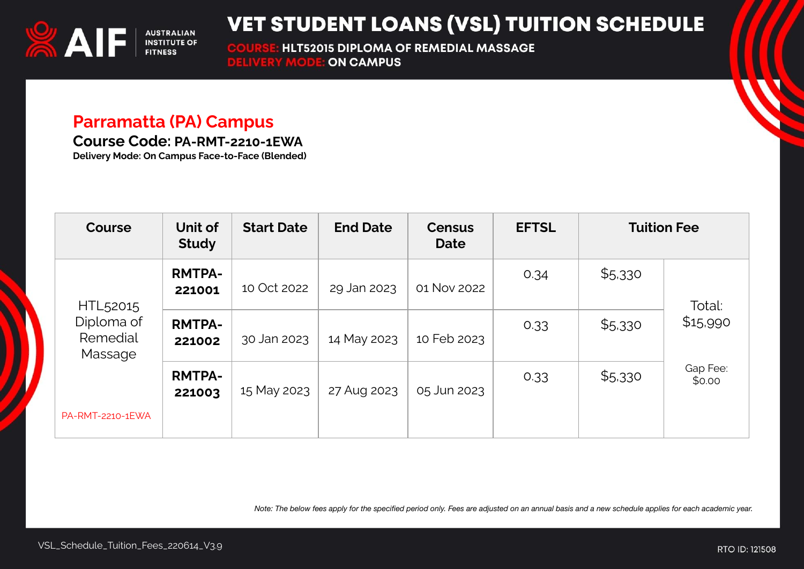

**HLT52015 DIPLOMA OF REMEDIAL MASSAGE COURSE: HLT52015 DIPLOMA O<br>DELIVERY MODE: ON CAMPUS** 

#### **Parramatta (PA) Campus**

**Course Code: PA-RMT-2210-1EWA**

**Delivery Mode: On Campus Face-to-Face (Blended)**

| <b>Course</b>                                             | Unit of<br><b>Study</b> | <b>Start Date</b> | <b>End Date</b> | <b>Census</b><br>Date | <b>EFTSL</b> | <b>Tuition Fee</b> |                    |
|-----------------------------------------------------------|-------------------------|-------------------|-----------------|-----------------------|--------------|--------------------|--------------------|
| HTL <sub>52015</sub><br>Diploma of<br>Remedial<br>Massage | <b>RMTPA-</b><br>221001 | 10 Oct 2022       | 29 Jan 2023     | 01 Nov 2022           | 0.34         | \$5,330            | Total:             |
|                                                           | <b>RMTPA-</b><br>221002 | 30 Jan 2023       | 14 May 2023     | 10 Feb 2023           | 0.33         | \$5,330            | \$15,990           |
|                                                           | <b>RMTPA-</b><br>221003 | 15 May 2023       | 27 Aug 2023     | 05 Jun 2023           | 0.33         | \$5,330            | Gap Fee:<br>\$0.00 |
| PA-RMT-2210-1EWA                                          |                         |                   |                 |                       |              |                    |                    |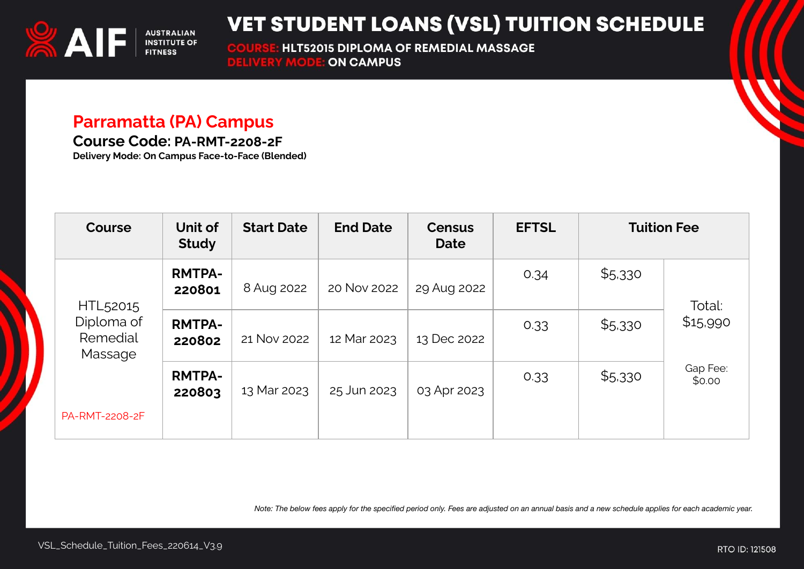

**HLT52015 DIPLOMA OF REMEDIAL MASSAGE COURSE: HLT52015 DIPLOMA O<br>DELIVERY MODE: ON CAMPUS** 

#### **Parramatta (PA) Campus**

**Course Code: PA-RMT-2208-2F**

**Delivery Mode: On Campus Face-to-Face (Blended)**

| <b>Course</b>                                             | Unit of<br><b>Study</b> | <b>Start Date</b> | <b>End Date</b> | <b>Census</b><br><b>Date</b> | <b>EFTSL</b> | <b>Tuition Fee</b> |                    |
|-----------------------------------------------------------|-------------------------|-------------------|-----------------|------------------------------|--------------|--------------------|--------------------|
| HTL <sub>52015</sub><br>Diploma of<br>Remedial<br>Massage | <b>RMTPA-</b><br>220801 | 8 Aug 2022        | 20 Nov 2022     | 29 Aug 2022                  | 0.34         | \$5,330            | Total:             |
|                                                           | <b>RMTPA-</b><br>220802 | 21 Nov 2022       | 12 Mar 2023     | 13 Dec 2022                  | 0.33         | \$5,330            | \$15,990           |
|                                                           | <b>RMTPA-</b><br>220803 | 13 Mar 2023       | 25 Jun 2023     | 03 Apr 2023                  | 0.33         | \$5,330            | Gap Fee:<br>\$0.00 |
| PA-RMT-2208-2F                                            |                         |                   |                 |                              |              |                    |                    |